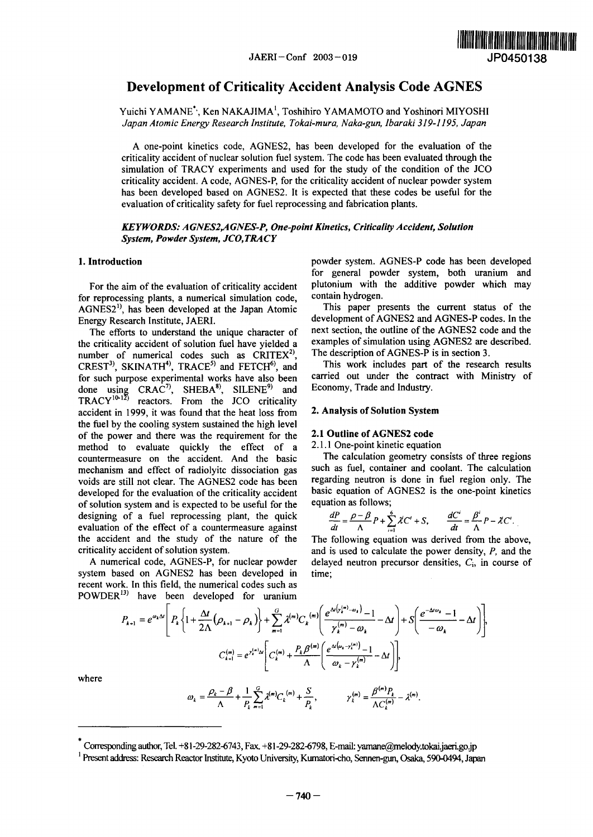

# Development of Criticality Accident Analysis Code AGNES

Yuichi YAMANE<sup>\*</sup>, Ken NAKAJIMA<sup>1</sup>, Toshihiro YAMAMOTO and Yoshinori MIYOSHI *Japan Atomic Enery Research Institute, Tokai-mura, Naka-gun, baraki 39-1195, Japan*

A one-point kinetics code, AGNES2, has been developed for the evaluation of the criticality accident of nuclear solution fuel system. The code has been evaluated through the simulation of TRACY experiments and used for the study of the condition of the JCO criticality accident. A code, AGNES-P, for the criticality accident of nuclear powder system has been developed based on AGNES2. It is expected that these codes be useful for the evaluation of criticality safety for fuel reprocessing and fabrication plants.

*KEYWORDS. A GNES2,A GNES-P, One-point Kinetics, Criticality Accident, Solution System, Powder System, JCO, TRACY*

for reprocessing plants, a numerical simulation code, contain hydrogen.<br>AGNES2<sup>1)</sup> has been developed at the Japan Atomic This paper presents the current status of the  $AGNES2<sup>1</sup>$ , has been developed at the Japan Atomic

the criticality accident of solution fuel have yielded a examples of simulation using AGNES2 are quinter of numerical codes such as  $CRITER<sup>2</sup>$ . The description of AGNES-P is in section 3. number of numerical codes such as  $CRITEX<sup>2</sup>$ , CREST<sup>3)</sup>, SKINATH<sup>4</sup>), TRACE<sup>5)</sup> and FETCH<sup>6</sup>), and This work includes part of the research results for such nurnose experimental works have also been carried out under the contract with Ministry of for such purpose experimental works have also been done using  $CRAC^7$ , SHEBA<sup>8</sup>, SILENE<sup>9</sup> and Economy, Trade and Industry.  $TRACY^{10-12}$  reactors. From the JCO criticality accident in 1999, it was found that the heat loss from **2. Analysis of Solution System** the fuel by the cooling system sustained the high level of the power and there was the requirement for the **2.1 Outline of AGNES2 code**<br>method to evaluate quickly the effect of a 2.1.1 One-point kinetic equation method to evaluate quickly the effect of a  $2.1.1$  One-point kinetic equation<br>countermeasure on the accident. And the basic The calculation geometry consists of three regions countermeasure on the accident. And the basic mechanism and effect of radiolyitc dissociation gas such as fuel, container and coolant. The calculation voids are still not clear. The AGNES2 code has been regarding neutron is done in fuel region only. The developed for the evaluation of the criticality accident basic equation of AGNES2 is the one-point kinetics developed for the evaluation of the criticality accident of solution system and is expected to be useful for the equation as follows; designing of a fuel reprocessing plant, the quick  $e$  valuation of the effect of a countermeasure against the accident and the study of the nature of the The following equation was derived from the above,

system based on AGNES2 has been developed in time; recent work. In this field, the numerical codes such as POWDER<sup>13)</sup> have been developed for uranium

1. **Introduction** powder system. AGNES-P code has been developed for general powder system, both uranium and For the aim of the evaluation of criticality accident plutonium with the additive powder which may<br>reprocessing plants a numerical simulation code contain hydrogen.

Energy Research Institute, JAERI.<br>The efforts to understand the unique character of next section, the outline of the AGNES2 code and the The efforts to understand the unique character of next section, the outline of the AGNES2 code and the extricality accident of solution fuel have vielded a examples of simulation using AGNES2 are described.

$$
\frac{dP}{dt} = \frac{\rho - \beta}{\Lambda} P + \sum_{i=1}^{6} \lambda^i C^i + S, \qquad \frac{dC^i}{dt} = \frac{\beta^i}{\Lambda} P - \lambda^i C^i.
$$

criticality accident of solution system. And is used to calculate the power density, P, and the A numerical code, AGNES-P, for nuclear powder delayed neutron precursor densities,  $C_i$ , in course of

$$
P_{k+1} = e^{\omega_k \Delta t} \left[ P_k \left\{ 1 + \frac{\Delta t}{2\Lambda} \left( \rho_{k+1} - \rho_k \right) \right\} + \sum_{m=1}^G \lambda^{(m)} C_k^{(m)} \left( \frac{e^{\Delta t \left( y_k^{(m)} - \omega_k \right)} - 1}{\gamma_k^{(m)} - \omega_k} - \Delta t \right) + S \left( \frac{e^{-\Delta t \omega_k} - 1}{-\omega_k} - \Delta t \right) \right],
$$
  

$$
C_{k+1}^{(m)} = e^{\gamma_k^{(m)} \Delta t} \left[ C_k^{(m)} + \frac{P_k \beta^{(m)}}{\Lambda} \left( \frac{e^{\Delta t \left( \omega_k - \gamma_k^{(m)} \right)} - 1}{\omega_k - \gamma_k^{(m)}} - \Delta t \right) \right],
$$

where

$$
\omega_{k} = \frac{\rho_{k} - \beta}{\Lambda} + \frac{1}{P_{k}} \sum_{m=1}^{G} \lambda^{(m)} C_{k}^{(m)} + \frac{S}{P_{k}}, \qquad \gamma_{k}^{(m)} = \frac{\beta^{(m)} P_{k}}{\Lambda C_{k}^{(m)}} - \lambda^{(m)}.
$$

 $\phantom{i}$  Corresponding author, Tel. +81-29-282-6743, Fax. +81-29-282-6798, E-mail: yamane@melody.tokai.jaeri.go.jp

<sup>&</sup>lt;sup>1</sup> Present address: Research Reactor Institute, Kyoto University, Kumatori-cho, Sennen-gun, Osaka, 590-0494, Japan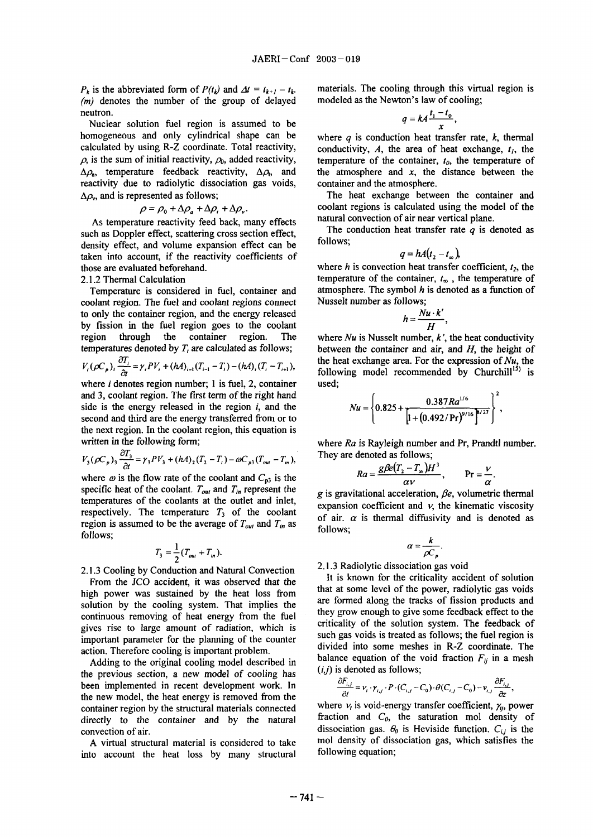(*m*) denotes the number of the group of delayed modeled as the Newton's law of cooling; neutron.  $q = k \frac{t_1 - t_0}{a}$ 

Nuclear solution fuel region is assumed to be homogeneous and only cylindrical shape can be where  $q$  is conduction heat transfer rate,  $k$ , thermal reactivity due to radiolytic dissociation gas voids, container and the atmosphere.  $\Delta \rho_{v}$ , and is represented as follows; The heat exchange between the container and

$$
\rho = \rho_0 + \Delta \rho_a + \Delta \rho_r + \Delta \rho_r.
$$

As temperature reactivity feed back, many effects natural convection of air near vertical plane.<br>
The conduction heat transfer rate  $q$  is denoted as such as Doppler effect, scattering cross section effect, The conduction of  $\frac{1}{2}$  follows; density effect, and volume expansion effect can be taken into account, if the reactivity coefficients of those are evaluated beforehand. where h is convection heat transfer coefficient,  $t_2$ , the

coolant region. The fuel and coolant regions connect Nusselt number as follows; to only the container region, and the energy released by fission in the fuel region goes to the coolant region through the container region. The where  $Nu$  is Nusselt number,  $k'$ , the heat conductivity

$$
V_{i}(\rho C_{p})_{i}\frac{\partial T_{i}}{\partial t}=\gamma_{i}PV_{i}+(hA)_{i-1}(T_{i-1}-T_{i})-(hA)_{i}(T_{i}-T_{i+1}),
$$

where  $i$  denotes region number; 1 is fuel, 2, container used; and 3, coolant region. The first term of the right hand side is the energy released in the region  $i$ , and the  $\frac{1}{2}$ second and third are the energy transferred from or to the next region. In the coolant region, this equation is written in the following form; where *Ra* is Rayleigh number and Pr, Prandtl number.

$$
V_3(\rho C_p)_3 \frac{\partial T_3}{\partial t} = \gamma_3 PV_3 + (hA)_2 (T_2 - T_1) - \omega C_{p3} (T_{out} - T_m),
$$
 They are denoted as follows;  
g \beta e(T\_2 - T\_1)H<sup>3</sup>

where  $\omega$  is the flow rate of the coolant and  $C_{p3}$  is the specific heat of the coolant.  $T_{out}$  and  $T_{in}$  represent the g is gravitational acceleration,  $\beta e$ , volumetric thermal temperatures of the coolants at the outlet and inlet, expansion coefficient and  $\nu$ , the kinematic viscosity respectively. The temperature  $T_3$  of the coolant of air.  $\alpha$  is thermal diffusivity and is denoted as region is assumed to be the average of  $T_{out}$  and  $T_{in}$  as follows; follows;

$$
T_3 = \frac{1}{2}(T_{out} + T_{in}).
$$

2.1.3 Cooling by Conduction and Natural Convection 2.1.3 Nationally dissociation gas void<br>It is known for the criticality accident of solution

Adding to the original cooling model described in  $(i,j)$  is denoted as follows; the previous section, a new model of cooling has been implemented in recent development work. In the new model, the heat energy is removed from the container region by the structural materials connected where  $v_t$  is void-energy transfer coefficient,  $\gamma_{ij}$ , power

into account the heat loss by many structural

 $P_k$  is the abbreviated form of  $P(t_k)$  and  $\Delta t = t_{k+1} - t_k$ . materials. The cooling through this virtual region is

$$
q = kA \frac{t_1 - t_0}{x},
$$

calculated by using R-Z coordinate. Total reactivity, conductivity, A, the area of heat exchange,  $t<sub>l</sub>$ , the  $\rho$ , is the sum of initial reactivity,  $\rho_0$ , added reactivity, temperature of the container,  $t_0$ , the temperature of  $\Delta \rho_a$ , temperature feedback reactivity,  $\Delta \rho_b$ , and the atmosphere and x, the distance between the

coolant regions is calculated using the model of the

$$
q = hA(t_2 - t_m),
$$

2.1.2 Thermal Calculation temperature of the container,  $t_{\infty}$ , the temperature of Temperature is considered in fuel, container and atmosphere. The symbol  $h$  is denoted as a function of

$$
h=\frac{Nu\cdot k'}{H},
$$

temperatures denoted by  $T_i$  are calculated as follows; between the container and air, and  $H$ , the height of the heat exchange area. For the expression of *Nu*, the following model recommended by Churchill<sup>15)</sup> is

$$
\mathbf{V}u = \left\{ 0.825 + \frac{0.387Ra^{1/6}}{\left[1 + \left(0.492/Pr\right)^{9/16}\right]^{8/27}} \right\}^2,
$$

$$
Ra = \frac{g\beta e(T_2 - T_\infty)H^3}{\alpha v}, \qquad \Pr = \frac{v}{\alpha}.
$$

$$
\alpha=\frac{k}{\rho C_p}.
$$

2 2.1.3 Radiolytic dissociation gas void

From the JCO accident, it was observed that the that at some level of the power, radiolytic gas voids of power, radiolytic gas voids high power was sustained by the heat loss from and a some level of the power, radiotypic gas voids solution by the cooling system. That implies the are formed along the tracks of fission products and they grow enough to give some feedback effect to the continuous removing of heat energy from the fuel they grow enough to give some reedback enect to the criticality of the solution system. The feedback of gives rise to large amount of radiation, which is such gas voids is treated as follows; the fuel region is important parameter for the planning of the counter important parameter for the planning of the counter<br>action. Therefore cooling is important problem<br>divided into some meshes in R-Z coordinate. The action. Therefore cooling is important problem.<br>Adding to the original cooling model described in balance equation of the void fraction  $F_{ij}$  in a mesh

$$
\frac{\partial F_{i,j}}{\partial t} = v_i \cdot \gamma_{i,j} \cdot P \cdot (C_{i,j} - C_0) \cdot \theta(C_{i,j} - C_0) - v_{i,j} \frac{\partial F_{i,j}}{\partial z},
$$

directly to the container and by the natural fraction and  $C_0$ , the saturation mol density of convection of air.  $\frac{d}{dx}$  is the dissociation gas.  $\theta_0$  is Heviside function.  $C_{i,j}$  is the A virtual structural material is considered to take mol density of dissociation gas, which satisfies the account the heat loss by many structural following equation;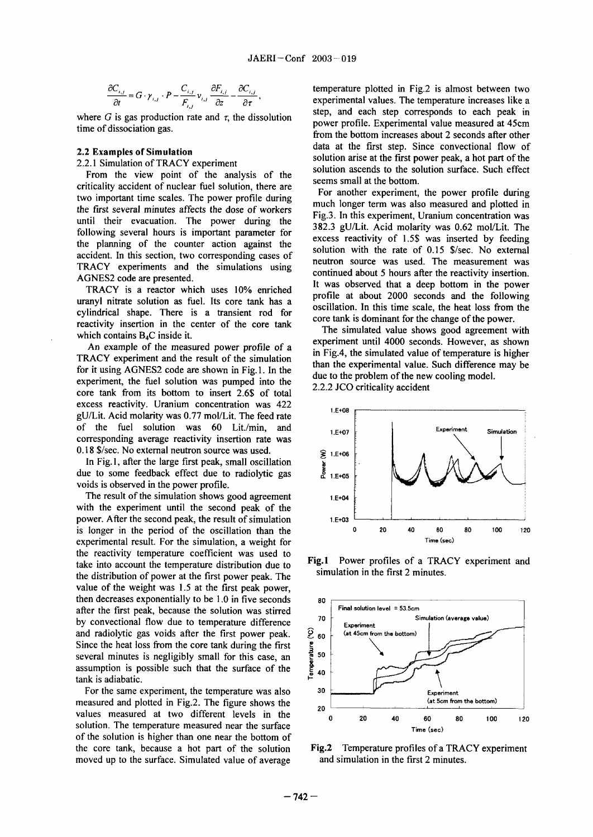$$
\frac{\partial C_{i,j}}{\partial t} = G \cdot \gamma_{i,j} \cdot P - \frac{C_{i,j}}{F_{i,j}} \nu_{i,j} \frac{\partial F_{i,j}}{\partial z} - \frac{\partial C_{i,j}}{\partial \tau}
$$

From the view point of the analysis of the solution ascends to the solution surface. Surface. Surface. Surface. Surface. Surface. Surface. Surface. Surface. Surface. Surface. Surface. Surface. Surface. Surface. Surface. S criticality accident of nuclear fuel solution, there are seems small at the bottom.<br>For another experiment, the power profile during two important time scales. The power profile during the first several minutes affects the dose of workers much longer term was also measured and plotted in the first several minutes affects the dose of workers Fig.3. In this experiment, Uranium concentration was until their evacuation. The power during the  $\frac{1}{382.3}$  gU/Lit. Acid molarity was 0.62 mol/Lit. The  $\frac{2}{382.3}$  gU/Lit. Acid molarity was 0.62 mol/Lit. following several hours is important parameter for<br>the planning of the sounter extine exist the sexual the sexual molarity of 1.5\$ was inserted by feeding the planning of the counter action against the excess reactivity of 1.5\$ was inserted by feeding  $\frac{1}{2}$  counter and  $\frac{1}{2}$  solution with the rate of 0.15 \$/sec. No external accident. In this section, two corresponding cases of solution with the rate of 0.15 \$/sec. No external TRACY experiments and the simulations using

uranyl nitrate solution as fuel. Its core tank has a **profile at about 2000** seconds and the following cylindrical shape. There is a transient rod for oscillation. In this time scale, the heat loss from reactivity insertion in the center of the core tank The simulated value shows good agreement with which contains  $B_4C$  inside it. The simulated value shows good agreement with

TRACY experiment and the result of the simulation than the experimental value. Such difference may be far it wises AGNESS and are shared in Fig. 4. The day of the experimental value. Such difference may be for it using AGNES2 code are shown in Fig. 1. In the due to the problem of the new cooling model. experiment, the fuel solution was pumped into the  $2.2.2$  JCO criticality accident core tank from its bottom to insert 2.6\$ of total excess reactivity. Uranium concentration was 422 **I.E+08** gU/Lit. Acid molarity was 0.77 mol/Lit. The feed rate of the fuel solution was 60 Lit./min, and **I.E+07** Experiment **Simulation** corresponding average reactivity insertion rate was 0.18  $\frac{1}{2}$  S/sec. No external neutron source was used.  $\geq 1.5 + 06$ 

In Fig. 1, after the large first peak, small oscillation In Fig. 1, after the targe that pound, single cosmology of the south of the south of the south of the south of the south of the south of the south of the south of the south of the south of the south of the south of the sou voids is observed in the power profile.

The result of the simulation shows good agreement  $1.5+04$ with the experiment until the second peak of the power. After the second peak, the result of simulation **I.E+03** experimental result. For the simulation, a weight for **Time** (sec) the reactivity temperature coefficient was used to **Fig.1** Power profiles of a TRACY experiment and take into account the temperature distribution due to **FIG.1** POWER POTHES OF A TKA<br>the distribution of nouver at the first nouver need. The simulation in the first 2 minutes. the distribution of power at the first power peak. The value of the weight was 1.5 at the first peak power, then decreases exponentially to be  $1.0$  in five seconds  $80$ after the first peak, because the solution was stirred **Final solution level = 53.5cm**<br> **Final solution level = 53.5cm**<br>
Simulation (average value) by convectional flow due to temperature difference **70** Experiment and radiolytic gas voids after the first power peak.  $\frac{6}{50}$  (at 45cm from the bottom)<br>Since the heat loss from the core tank during the first<br>several minutes is negligibly small for this case, an<br>assumption is possibl Since the heat loss from the core tank during the first several minutes is negligibly small for this case, an assumption is possible such that the surface of the tank is adiabatic.

For the same experiment, the temperature was also **30 ariment** measured and plotted in Fig.2. The figure shows the **and the set of the figure shows** the **calculation** (at 5cm from the bottom) solution. The temperature measured near the surface **Time** (sec) of the solution is higher than one near the bottom of the core tank, because a hot part of the solution **Fig.2** Temperature profiles of a TRACY experiment moved up to the surface. Simulated value of average and simulation in the first 2 minutes.

temperature plotted in Fig.2 is almost between two experimental values. The temperature increases like a where G is gas production rate and  $\tau$ , the dissolution step, and each step corresponds to each peak in where  $\sigma$  is gas production rate and *i*, the dissociation<br>power profile. Experimental value measured at 45cm<br> $\sigma$ from the bottom increases about 2 seconds after other **2.2 Examples of Simulation** data at the first step. Since convectional flow of solution arise at the first power peak, a hot part of the 2.2.1 Simulation of TRACY experiment solution arise at the first power peak, a hot part of the first power peak, a hot part of the solution surface. Such effect

AGNES2 code are presented.<br>AGNES2 continued about 5 hours after the reactivity insertion.<br>TRACN is a spected which were 100% prejoked. It was observed that a deep bottom in the power TRACY is a reactor which uses  $10\%$  enriched  $\frac{100}{1000}$  profile at about 2000 seconds and the following

experiment until 4000 seconds. However, as shown An example of the measured power profile of a in Fig.4, the simulated value of temperature is higher



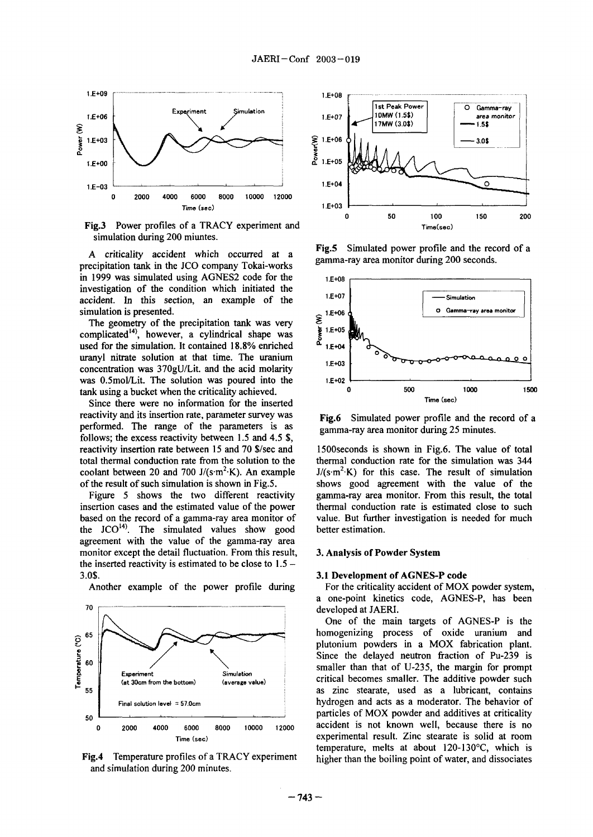

Fig.3 Power profiles of a TRACY experiment and Time(sec) simulation during 200 miuntes.

precipitation tank in the JCO company Tokai-works in 1999 was simulated using AGNES2 code for the  $1.5+0.8$ investigation of the condition which initiated the  $\frac{1.5+07}{1.5}$ accident. In this section, an example of the

The geometry of the precipitation tank was very complicated<sup>14</sup>), however, a cylindrical shape was<br>used for the simulation. It contained 18.8% enriched used for the simulation. It contained 18.8% enriched uranyl nitrate solution at that time. The uranium  $1.5+03$ concentration was 37OgU/Lit. and the acid molarity was  $0.5$ mol/Lit. The solution was poured into the  $1.5 + 0.2$ 

Since there were no information for the inserted reactivity and its insertion rate, parameter survey was **Fig.6** Simulated power profile and the record of a performed. The range of the parameters is as gamma-ray area monitor during 25 minutes. follows; the excess reactivity between  $1.5$  and  $4.5$  \$, reactivity insertion rate between 15 and 70 \$/sec and 1500 seconds is shown in Fig.6. The value of total total thermal conduction rate for the simulation was 344 total thermal conduction rate from the solution to the

insertion cases and the estimated value of the power thermal conduction rate is estimated close to such based on the record of a gamma-ray area monitor of value. But further investigation is needed for much the  $JCO<sup>14</sup>$ . The simulated values show good better estimation. agreement with the value of the gamma-ray area monitor except the detail fluctuation. From this result, 3. **Analysis of Powder System** the inserted reactivity is estimated to be close to  $1.5 -$ 3.0\$. **3.1 Development of AGNES-P code**



and simulation during 200 minutes.



A criticality accident which occurred at a **Fig.5** Simulated power profile and the record of a gamma-ray area monitor during 200 seconds.



coolant between 20 and 700 J/(s-m<sup>2</sup>·K). An example J/(s-m<sup>2</sup>·K) for this case. The result of simulation of the result of such simulation is shown in Fig.5. shows good agreement with the value of the Figure 5 shows the two different reactivity gamma-ray area monitor. From this result, the total

Another example of the power profile during For the criticality accident of MOX powder system, a one-point kinetics code, AGNES-P, has been

One of the main targets of AGNES-P is the Since the delayed neutron fraction of Pu-239 is Experiment smalled smalled smaller. The additive powder such (at 30cm from the bottom) (average value) Final solution level = 57.0cm **hydrogen and acts as a moderator.** The behavior of  $0$  2000 4000 6000 8000 10000 12000 accident is not known well, because there is no Time (sec) experimental result. Zinc stearate is solid at room temperature, melts at about 120-130'C, which is Fig.4 Temperature profiles of a TRACY experiment higher than the boiling point of water, and dissociates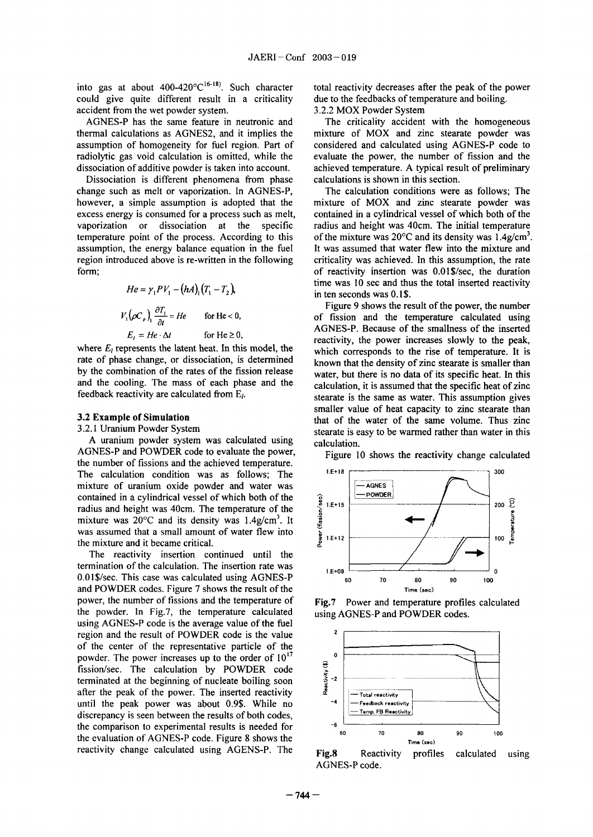could give quite different result in a criticality due to the feedbacks of temperature and boiling. accident from the wet powder system. 3.2.2 MOX Powder System

thermal calculations as AGNES2, and it implies the mixture of MOX and zinc stearate powder was assumption of homogeneity for fuel region. Part of considered and calculated using AGNES-P code to radiolytic gas void calculation is omitted, while the evaluate the power, the number of fission and the dissociation of additive powder is taken into account. achieved temperature. A typical result of preliminary

Dissociation is different phenomena from phase calculations is shown in this section. change such as melt or vaporization. In AGNES-P, The calculation conditions were as follows; The however, a simple assumption is adopted that the mixture of MOX and zinc stearate powder was excess energy is consumed for a process such as melt, contained in a cylindrical vessel of which both of the vaporization or dissociation at the specific radius and height was 40cm. The initial temperature temperature point of the process. According to this of the mixture was  $20^{\circ}$ C and its density was 1.4 $g/cm<sup>3</sup>$ . assumption, the energy balance equation in the fuel It was assumed that water flew into the mixture and region introduced above is re-written in the following criticality was achieved. In this assumption, the rate form; of reactivity insertion was 0.01\$/sec, the duration

$$
He = \gamma_1 PV_1 - (hA)_1 (T_1 - T_2),
$$
  

$$
V_1 (\rho C_p) \frac{\partial T_1}{\partial t} = He \quad \text{for He} < 0,
$$
  

$$
E_1 = He \cdot \Delta t \quad \text{for He} \ge 0.
$$

where  $E_l$  represents the latent heat. In this model, the which corresponds to the rise of temperature. It is rate of phase change, or dissociation, is determined known that the density of zinc stearate is smaller than rate of phase change, or dissociation, is determined<br>by the combination of the rates of the fission release<br>water but there is no data of its specific heat. In this by the combination of the rates of the fission release water, but there is no data of its specific heat. In this and the cooling. The mass of each phase and the coolinging is assumed that the specific heat of zinc and the cooling. The mass of each phase and the calculation, it is assumed that the specific heat of zinc<br>feedback reactivity are calculated from  $E_l$ .

A uranium powder system was calculated using calculation. AGNES-P and POWDER code to evaluate the power, Figure 10 shows the reactivity change calculated the number of fissions and the achieved temperature. The calculation condition was as follows; The  $1.5+18$   $\sim$ mixture of uranium oxide powder and water was  $\Box$   $\Box$  AGNES contained in a cylindrical vessel of which both of the<br>radius and height was 40cm. The temperature of the<br>mixture was 20°C and its density was 1.4g/cm<sup>3</sup>. It<br>was assumed that a small amount of water flew into<br>the mixture Fraction and height was 40cm. The temperature of the<br>
mixture was 20°C and its density was 1.4g/cm<sup>3</sup>. It<br>
was assumed that a small amount of water flew into<br>
the mixture and it became critical. mixture was  $20^{\circ}$ C and its density was 1.4g/cm<sup>3</sup>. It was assumed that a small amount of water flew into the mixture and it became critical.

The reactivity insertion continued until the termination of the calculation. The insertion rate was  $1.5+0.9$ 0.01\$/sec. This case was calculated using AGNES-P  $\frac{1200}{60}$  70 80 90 100 and POWDER codes. Figure 7 shows the result of the Time (sec) power, the number of fissions and the temperature of **Fig.7** Power and temperature profiles calculated the powder. In Fig.7, the temperature calculated using AGNES-P and POWDER codes. using AGNES-P code is the average value of the fuel region and the result of POWDER code is the value <sup>2</sup> of the center of the representative particle of the powder. The power increases up to the order of  $10^{17}$ <br>fission/sec. The calculation by POWDER code<br>terminated at the beginning of nucleate boiling soon<br>after the peak of the power. The inserted reactivity fission/sec. The calculation by PWDER code terminated at the beginning of nucleate boiling soon  $\frac{1}{3}$ <sup>-2</sup> after the peak of the power. The inserted reactivity  $\frac{d}{dx}$   $\frac{1}{\sqrt{\det x}}$  rotal reactivity until the peak power was about 0.9\$. While no  $-4$   $-$  Feedback reactivity discrepancy is seen between the results of both codes discrepancy is seen between the results of both codes, the comparison to experimental results is needed for  $\frac{1}{60}$   $\frac{1}{70}$   $\frac{1}{80}$   $\frac{1}{70}$   $\frac{1}{80}$   $\frac{1}{90}$   $\frac{1}{100}$ the evaluation of AGNES-P code. Figure 8 shows the  $T_{Time (see)}$ reactivity change calculated using AGENS-P. The **Fig.8** Reactivity profiles calculated using

into gas at about  $400-420^{\circ}C^{16-18}$ . Such character total reactivity decreases after the peak of the power

AGNES-P has the same feature in neutronic and The criticality accident with the homogeneous

time was 10 sec and thus the total inserted reactivity in ten seconds was 0.1\$.

Figure 9 shows the result of the power, the number of fission and the temperature calculated using  $He \Delta t$  for He  $\geq 0$ , AGNES-P. Because of the smallness of the inserted  $He \Delta t$  for He 20, reactivity, the power increases slowly to the peak, stearate is the same as water. This assumption gives smaller value of heat capacity to zinc stearate than **3.2 Example of Simulation that of the water of the same volume.** Thus zinc <br>3.2.1 Uranium Powder System **that of the water of the same volume**. Thus zinc stearate is easy to be warmed rather than water in this





AGNES-P code.